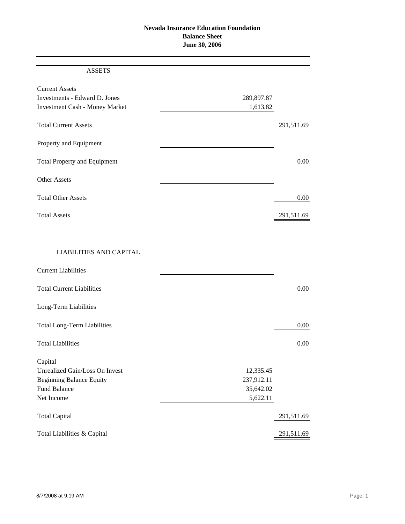# **Nevada Insurance Education Foundation Balance Sheet June 30, 2006**

## ASSETS

| <b>Current Assets</b>                 |            |            |
|---------------------------------------|------------|------------|
| Investments - Edward D. Jones         | 289,897.87 |            |
| <b>Investment Cash - Money Market</b> | 1,613.82   |            |
| <b>Total Current Assets</b>           |            | 291,511.69 |
| Property and Equipment                |            |            |
| <b>Total Property and Equipment</b>   |            | 0.00       |
| <b>Other Assets</b>                   |            |            |
| <b>Total Other Assets</b>             |            | 0.00       |
| <b>Total Assets</b>                   |            | 291,511.69 |
|                                       |            |            |

## LIABILITIES AND CAPITAL

| <b>Current Liabilities</b>         |            |            |
|------------------------------------|------------|------------|
| <b>Total Current Liabilities</b>   |            | 0.00       |
| Long-Term Liabilities              |            |            |
| <b>Total Long-Term Liabilities</b> |            | $0.00\,$   |
| <b>Total Liabilities</b>           |            | 0.00       |
| Capital                            |            |            |
| Unrealized Gain/Loss On Invest     | 12,335.45  |            |
| <b>Beginning Balance Equity</b>    | 237,912.11 |            |
| <b>Fund Balance</b>                | 35,642.02  |            |
| Net Income                         | 5,622.11   |            |
| <b>Total Capital</b>               |            | 291,511.69 |
| Total Liabilities & Capital        |            | 291,511.69 |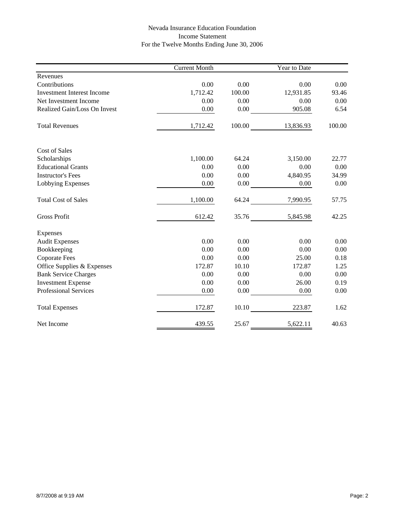## Nevada Insurance Education Foundation Income Statement For the Twelve Months Ending June 30, 2006

|                                   | <b>Current Month</b> |        | Year to Date |        |
|-----------------------------------|----------------------|--------|--------------|--------|
| Revenues                          |                      |        |              |        |
| Contributions                     | 0.00                 | 0.00   | 0.00         | 0.00   |
| <b>Investment Interest Income</b> | 1,712.42             | 100.00 | 12,931.85    | 93.46  |
| Net Investment Income             | 0.00                 | 0.00   | 0.00         | 0.00   |
| Realized Gain/Loss On Invest      | 0.00                 | 0.00   | 905.08       | 6.54   |
| <b>Total Revenues</b>             | 1,712.42             | 100.00 | 13,836.93    | 100.00 |
| <b>Cost of Sales</b>              |                      |        |              |        |
| Scholarships                      | 1,100.00             | 64.24  | 3,150.00     | 22.77  |
| <b>Educational Grants</b>         | 0.00                 | 0.00   | 0.00         | 0.00   |
| <b>Instructor's Fees</b>          | 0.00                 | 0.00   | 4,840.95     | 34.99  |
| Lobbying Expenses                 | 0.00                 | 0.00   | 0.00         | 0.00   |
| <b>Total Cost of Sales</b>        | 1,100.00             | 64.24  | 7,990.95     | 57.75  |
| <b>Gross Profit</b>               | 612.42               | 35.76  | 5,845.98     | 42.25  |
| Expenses                          |                      |        |              |        |
| <b>Audit Expenses</b>             | 0.00                 | 0.00   | 0.00         | 0.00   |
| Bookkeeping                       | 0.00                 | 0.00   | 0.00         | 0.00   |
| <b>Coporate Fees</b>              | 0.00                 | 0.00   | 25.00        | 0.18   |
| Office Supplies & Expenses        | 172.87               | 10.10  | 172.87       | 1.25   |
| <b>Bank Service Charges</b>       | 0.00                 | 0.00   | 0.00         | 0.00   |
| <b>Investment Expense</b>         | 0.00                 | 0.00   | 26.00        | 0.19   |
| <b>Professional Services</b>      | 0.00                 | 0.00   | 0.00         | 0.00   |
| <b>Total Expenses</b>             | 172.87               | 10.10  | 223.87       | 1.62   |
| Net Income                        | 439.55               | 25.67  | 5,622.11     | 40.63  |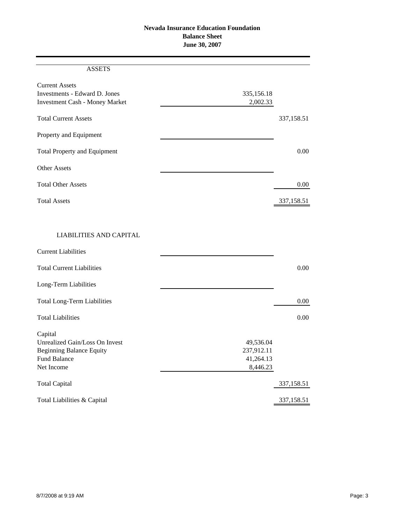# **Nevada Insurance Education Foundation Balance Sheet June 30, 2007**

#### ASSETS

| <b>Current Assets</b><br>Investments - Edward D. Jones<br><b>Investment Cash - Money Market</b> | 335,156.18<br>2,002.33 |            |
|-------------------------------------------------------------------------------------------------|------------------------|------------|
| <b>Total Current Assets</b>                                                                     |                        | 337,158.51 |
| Property and Equipment                                                                          |                        |            |
| <b>Total Property and Equipment</b>                                                             |                        | 0.00       |
| <b>Other Assets</b>                                                                             |                        |            |
| <b>Total Other Assets</b>                                                                       |                        | 0.00       |
| <b>Total Assets</b>                                                                             |                        | 337,158.51 |
|                                                                                                 |                        |            |
| <b>LIABILITIES AND CAPITAL</b>                                                                  |                        |            |
| <b>Current Liabilities</b>                                                                      |                        |            |
| <b>Total Current Liabilities</b>                                                                |                        | 0.00       |

| Long-Term Liabilities                         |            |
|-----------------------------------------------|------------|
| <b>Total Long-Term Liabilities</b>            | 0.00       |
| <b>Total Liabilities</b>                      | 0.00       |
| Capital                                       |            |
| Unrealized Gain/Loss On Invest<br>49,536.04   |            |
| 237,912.11<br><b>Beginning Balance Equity</b> |            |
| <b>Fund Balance</b><br>41,264.13              |            |
| Net Income                                    | 8,446.23   |
| <b>Total Capital</b>                          | 337,158.51 |
| Total Liabilities & Capital                   | 337,158.51 |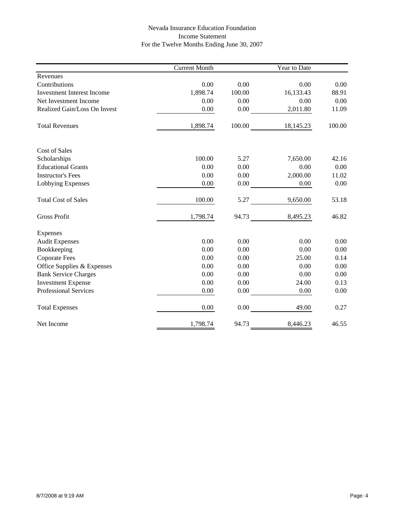# Nevada Insurance Education Foundation Income Statement For the Twelve Months Ending June 30, 2007

|                                   | <b>Current Month</b> |        | Year to Date |        |
|-----------------------------------|----------------------|--------|--------------|--------|
| Revenues                          |                      |        |              |        |
| Contributions                     | 0.00                 | 0.00   | 0.00         | 0.00   |
| <b>Investment Interest Income</b> | 1,898.74             | 100.00 | 16,133.43    | 88.91  |
| Net Investment Income             | 0.00                 | 0.00   | 0.00         | 0.00   |
| Realized Gain/Loss On Invest      | 0.00                 | 0.00   | 2,011.80     | 11.09  |
| <b>Total Revenues</b>             | 1,898.74             | 100.00 | 18,145.23    | 100.00 |
| <b>Cost of Sales</b>              |                      |        |              |        |
| Scholarships                      | 100.00               | 5.27   | 7,650.00     | 42.16  |
| <b>Educational Grants</b>         | 0.00                 | 0.00   | 0.00         | 0.00   |
| <b>Instructor's Fees</b>          | 0.00                 | 0.00   | 2,000.00     | 11.02  |
| Lobbying Expenses                 | 0.00                 | 0.00   | 0.00         | 0.00   |
| <b>Total Cost of Sales</b>        | 100.00               | 5.27   | 9,650.00     | 53.18  |
| <b>Gross Profit</b>               | 1,798.74             | 94.73  | 8,495.23     | 46.82  |
| Expenses                          |                      |        |              |        |
| <b>Audit Expenses</b>             | 0.00                 | 0.00   | 0.00         | 0.00   |
| Bookkeeping                       | 0.00                 | 0.00   | 0.00         | 0.00   |
| <b>Coporate Fees</b>              | 0.00                 | 0.00   | 25.00        | 0.14   |
| Office Supplies & Expenses        | 0.00                 | 0.00   | 0.00         | 0.00   |
| <b>Bank Service Charges</b>       | 0.00                 | 0.00   | 0.00         | 0.00   |
| <b>Investment Expense</b>         | 0.00                 | 0.00   | 24.00        | 0.13   |
| <b>Professional Services</b>      | 0.00                 | 0.00   | 0.00         | 0.00   |
| <b>Total Expenses</b>             | 0.00                 | 0.00   | 49.00        | 0.27   |
| Net Income                        | 1,798.74             | 94.73  | 8,446.23     | 46.55  |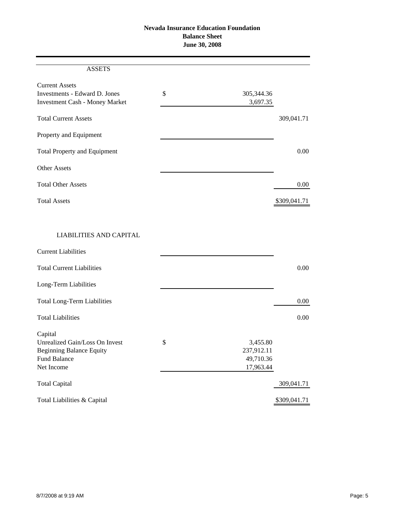#### **Nevada Insurance Education Foundation Balance Sheet June 30, 2008**

# ASSETS Current Assets Investments - Edward D. Jones  $\qquad$  \$ 305,344.36 Investment Cash - Money Market 3,697.35 Total Current Assets 309,041.71 Property and Equipment Total Property and Equipment 0.00 Other Assets Total Other Assets 0.00 Total Assets \$309,041.71 LIABILITIES AND CAPITAL

| <b>Current Liabilities</b>         |                |              |
|------------------------------------|----------------|--------------|
| <b>Total Current Liabilities</b>   |                | 0.00         |
| Long-Term Liabilities              |                |              |
| <b>Total Long-Term Liabilities</b> |                | 0.00         |
| <b>Total Liabilities</b>           |                | 0.00         |
| Capital                            |                |              |
| Unrealized Gain/Loss On Invest     | \$<br>3,455.80 |              |
| <b>Beginning Balance Equity</b>    | 237,912.11     |              |
| <b>Fund Balance</b>                | 49,710.36      |              |
| Net Income                         | 17,963.44      |              |
| <b>Total Capital</b>               |                | 309,041.71   |
| Total Liabilities & Capital        |                | \$309,041.71 |